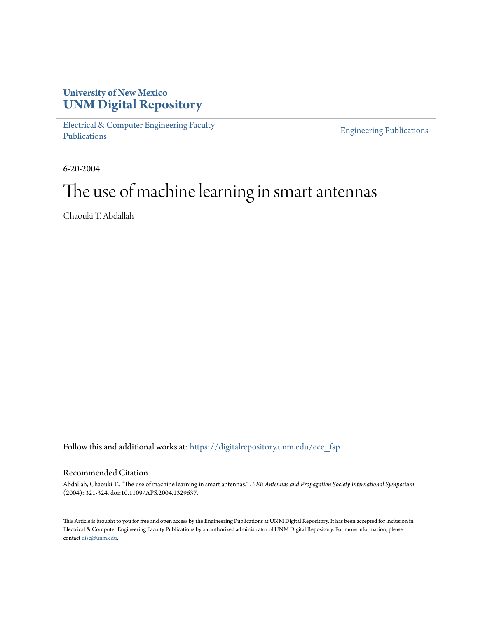# **University of New Mexico [UNM Digital Repository](https://digitalrepository.unm.edu?utm_source=digitalrepository.unm.edu%2Fece_fsp%2F216&utm_medium=PDF&utm_campaign=PDFCoverPages)**

[Electrical & Computer Engineering Faculty](https://digitalrepository.unm.edu/ece_fsp?utm_source=digitalrepository.unm.edu%2Fece_fsp%2F216&utm_medium=PDF&utm_campaign=PDFCoverPages) [Publications](https://digitalrepository.unm.edu/ece_fsp?utm_source=digitalrepository.unm.edu%2Fece_fsp%2F216&utm_medium=PDF&utm_campaign=PDFCoverPages)

[Engineering Publications](https://digitalrepository.unm.edu/eng_fsp?utm_source=digitalrepository.unm.edu%2Fece_fsp%2F216&utm_medium=PDF&utm_campaign=PDFCoverPages)

6-20-2004

# The use of machine learning in smart antennas

Chaouki T. Abdallah

Follow this and additional works at: [https://digitalrepository.unm.edu/ece\\_fsp](https://digitalrepository.unm.edu/ece_fsp?utm_source=digitalrepository.unm.edu%2Fece_fsp%2F216&utm_medium=PDF&utm_campaign=PDFCoverPages)

### Recommended Citation

Abdallah, Chaouki T.. "The use of machine learning in smart antennas." *IEEE Antennas and Propagation Society International Symposium* (2004): 321-324. doi:10.1109/APS.2004.1329637.

This Article is brought to you for free and open access by the Engineering Publications at UNM Digital Repository. It has been accepted for inclusion in Electrical & Computer Engineering Faculty Publications by an authorized administrator of UNM Digital Repository. For more information, please contact [disc@unm.edu.](mailto:disc@unm.edu)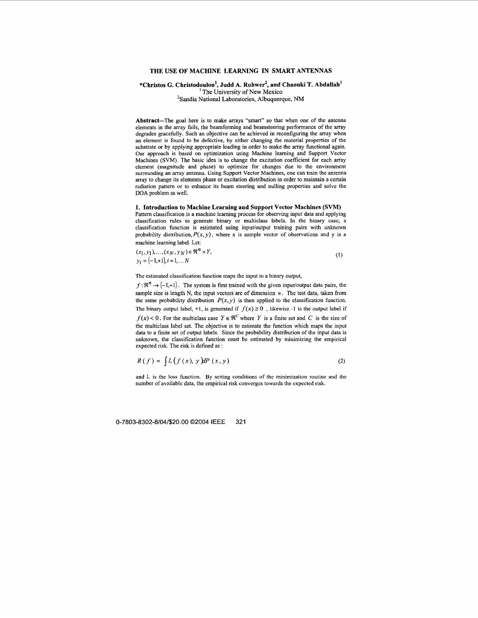#### **THE USE OF MACHINE LEARNING IN SMART ANTENNAS**

## **\*Christos** *G.* **Christodoulou', Judd A. Rohwer', and Chaouki T. Abdallah'** ' The University of New Mexico 'Sandia National Laboratories, Albuquerque, **NM**

**Abstract-The** goal here is to make arrays "smart" **so** that when one of the antenna elements in the array fails, the beamforming and beamsteering performance of the array degrades gracefully. Such an objective can be achieved in reconfiguring the array when an element is found to be defective, by either changing the material properties of the substrate or by applying appropriate loading in order to make the array functional again. **Our** approach is based on optimization using Machine learning and Support Vector Machines (SVM). The basic idea is to change the excitation coefficient for each array element (magnitude and phase) to optimize for changes due to the environment surrounding an array antenna. Using Support Vector Machines, one can train the antenna array to change its elements phase or excitation distribution in order to maintain a certain radiation pattem or to enhance its beam steering and nulling properties and solve the **DOA** problem as well.

#### **1. Introduction to Machine Learning and Support Vector Machines (SVM)**

Pattem classification is a machine learning process for observing input data and applying classification rules to generate binary or multiclass labels. In the binary case, a classification function is estimated using input/output training pairs with unknown probability distribution,  $P(x, y)$ , where **x** is sample vector of observations and y is a machine leaming label. Let:

$$
(x_1, y_1), \dots, (x_N, y_N) \in \mathfrak{R}^n \times Y,
$$
  
\n
$$
y_i = \{-1, +1\}, i = 1, \dots N
$$
 (1)

The estimated classification function maps the input to a binary output,

 $f: \mathbb{R}^n \to \{-1, +1\}$ . The system is first trained with the given input/output data pairs, the sample size is length N, the input vectors are of dimension *n* . The test data, taken from the same probability distribution  $P(x, y)$  is then applied to the classification function. The binary output label, +1, is generated if  $f(x) \ge 0$ , likewise -1 is the output label if  $f(x) < 0$ . For the multiclass case  $Y \in \mathcal{R}^C$  where *Y* is a finite set and *C* is the size of the multiclass label set. The objective is to estimate the function which maps the input data to a finite set of output labels. Since the probability distribution of the input data is unknown, the classification function must be estimated by minimizing the empirical

$$
R(f) = \int L(f(x), y) dP(x, y) \tag{2}
$$

and L is the loss function. **By** setting conditions of the minimization routine and the number of available data, the empirical risk converges towards the expected risk.

**0-7803-8302-8/04/\$20.00 02004** IEEE **321** 

expected risk. The risk is defined as :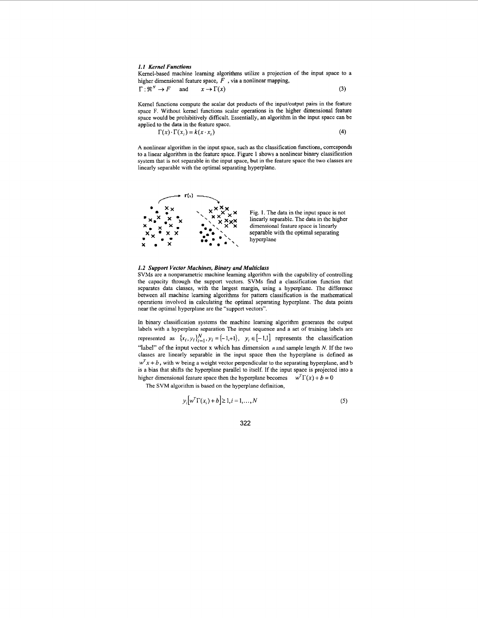#### *1.1 Kernel Functions*

Kemel-based machine learning algorithms utilize a projection of the input space to a higher dimensional feature space, *F* , via a nonlinear mapping,

$$
\Gamma: \mathfrak{R}^N \to F \quad \text{and} \quad x \to \Gamma(x) \tag{3}
$$

Kernel functions compute the scalar dot products of the input/output pairs in the feature space F. Without kemel functions scalar operations in the higher dimensional feature space would be prohibitively difficult. Essentially, an algorithm in the input space can he applied to the data in the feature space.

$$
\Gamma(x) \cdot \Gamma(x_i) = k(x \cdot x_i)
$$
\n<sup>(4)</sup>

**A** nonlinear algorithm in the input space, such as the classification functions, corresponds to a linear algorithm in the feature space. Figure 1 shows a nonlinear binary classification system that is not separable in the input space, but in the feature space the two classes are linearly separable with the optimal separating hyperplane.



Fig. **1.** The data in the input space is not linearly separable. The data in the higher dimensional feature space is linearly separable with the optimal separating hyperplane

#### *1.2 Support Vector Machines, Binary and Multiclass*

SVMs are a nonparametric machine leaming algorithm with the capability of controlling the capacity through the support vectors. SVMs find a classification function that separates data classes, with the largest margin, using a hyperplane. The difference between all machine leaming algorithms for pattem classification is the mathematical operations involved in calculating the optimal separating hyperplane. The data points near the optimal hyperplane are the "support vectors".

In binary classification systems the machine leaming algorithm generates the output labels with a hyperplane separation The input sequence and a set of training labels are represented as  $\{x_i, y_i\}_{i=1}^N$ ,  $y_i = \{-1, +1\}$ ,  $y_i \in [-1, 1]$  represents the classification "label" of the input vector **x** which has dimension *n* and sample length *N.* If the two classes are linearly separable in the input space then the hyperplane is defined as  $w<sup>T</sup> x + b$ , with w being a weight vector perpendicular to the separating hyperplane, and b is a bias that shifts the hyperplane parallel to itself. If the input space is projected into a higher dimensional feature space then the hyperplane becomes  $w^T\Gamma(x) + b = 0$ 

The SVM algorithm is based on the hyperplane definition,

$$
y_i[w^T \Gamma(x_i) + b] \ge 1, i = 1, ..., N
$$
 (5)

**322**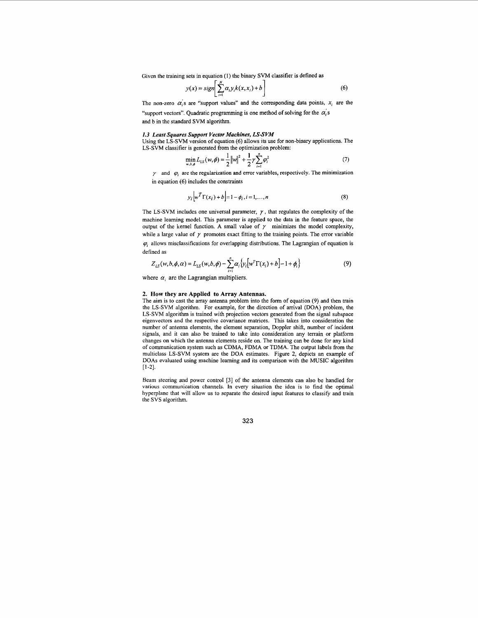Given the training sets in equation (1) the binary SVM classifier is defined as

$$
y(x) = sign\left[\sum_{i=1}^{n} \alpha_i y_i k(x, x_i) + b\right]
$$
 (6)

The non-zero  $\alpha$ 's are "support values" and the corresponding data points,  $x_i$  are the

"support vectors". Quadratic programming is one method of solving for the  $\alpha_i$ 's and b in the standard SVM algorithm.

#### *1.3 Least Squares Support Vector Machines, LS-SVM*

Using the LS-SVM version of equation *(6)* allows its use for non-binary applications. The LS-SVM classifier is generated from the optimization problem:

$$
\min_{w, b, \phi} L_{LS}(w, \phi) = \frac{1}{2} ||w||^2 + \frac{1}{2} \gamma \sum_{i=1}^n \varphi_i^2
$$
 (7)

 $\gamma$  and  $\varphi$  are the regularization and error variables, respectively. The minimization in equation *(6)* includes the constraints

$$
y_i \Big| w^T \Gamma(x_i) + b \Big| = 1 - \phi_i, i = 1, ..., n
$$
 (8)

The LS-SVM includes one universal parameter,  $\gamma$ , that regulates the complexity of the machine leaming model. This parameter is applied to the data in the feature space, the output of the kernel function. A small value of  $\gamma$  minimizes the model complexity, while a large value of  $\gamma$  promotes exact fitting to the training points. The error variable  $\varphi$ <sub>i</sub> allows misclassifications for overlapping distributions. The Lagrangian of equation is defined as

$$
Z_{LS}(w, b, \phi, \alpha) = L_{LS}(w, b, \phi) - \sum_{i=1}^{n} \alpha_i \{ y_i [w^T \Gamma(x_i) + b] - 1 + \phi_i \}
$$
(9)

where  $\alpha_i$  are the Lagrangian multipliers.

#### **2. How they are Applied to Array Antennas.**

The aim is to cast the array antenna problem into the form of equation (9) and then train the LS-SVM algorithm. For example, for the direction of arrival (DOA) problem, the LS-SVM algorithm is trained with projection vectors generated from the signal subspace eigenvectors and the respective covariance matrices. This takes into consideration the number of antenna elements, the element separation, Doppler shift, number of incident signals, and it can also be trained to take into consideration any terrain or platform changes on which the antenna elements reside on. The training can be done for any kind of communication system such as CDMA, FDMA or TDMA. The output labels from the multiclass LS-SVM system are the DOA estimates. Figure **2,** depicts an example of DOAs evaluated using machine leaming and its comparison with the MUSIC algorithm **[I-21.** 

Beam steering and power control **[3]** of the antenna elements can also be handled for various communication channels. In every situation the idea is to find the optimal hyperplane that will allow us to separate the desired input features to classify and train the SVS algorithm.

**323**